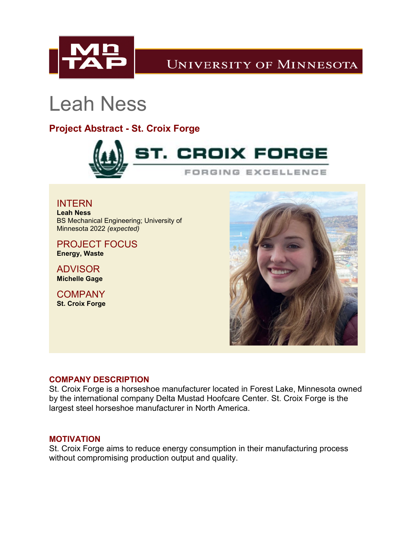

## **UNIVERSITY OF MINNESOTA**

# Leah Ness

### **Project Abstract - St. Croix Forge**



INTERN **Leah Ness** BS Mechanical Engineering; University of Minnesota 2022 *(expected)*

PROJECT FOCUS **Energy, Waste**

ADVISOR **Michelle Gage**

**COMPANY St. Croix Forge**



#### **COMPANY DESCRIPTION**

St. Croix Forge is a horseshoe manufacturer located in Forest Lake, Minnesota owned by the international company Delta Mustad Hoofcare Center. St. Croix Forge is the largest steel horseshoe manufacturer in North America.

#### **MOTIVATION**

St. Croix Forge aims to reduce energy consumption in their manufacturing process without compromising production output and quality.